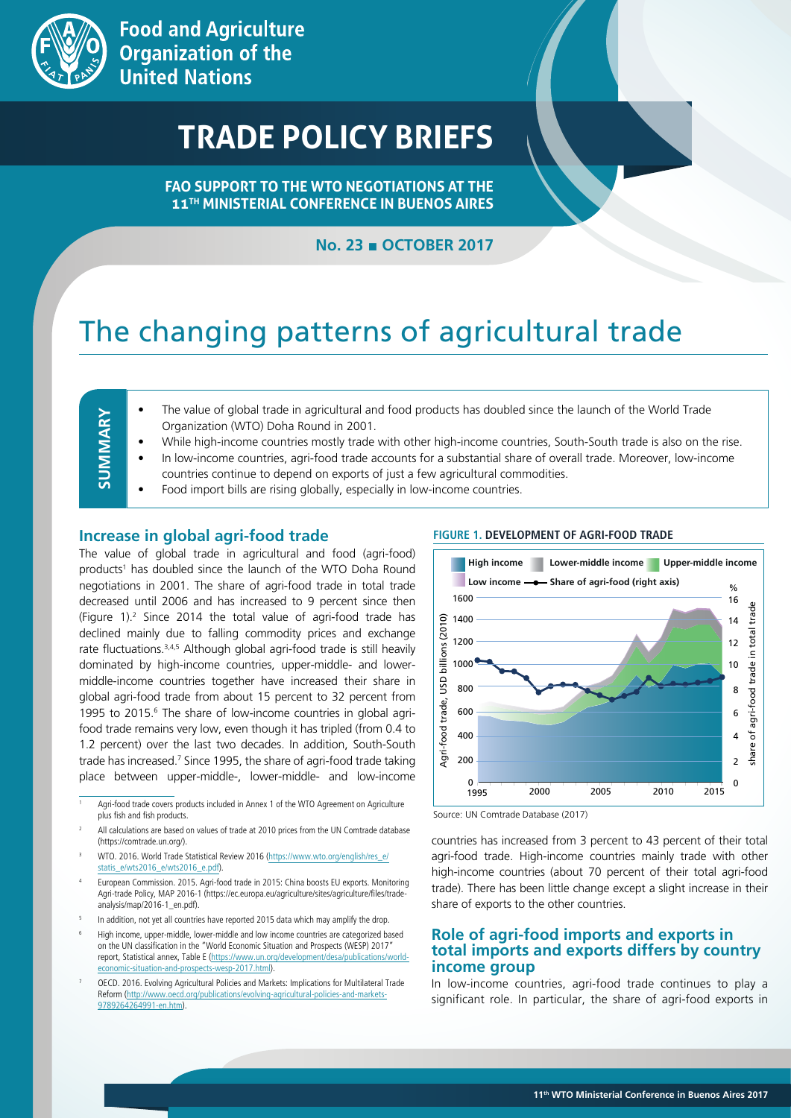

# **TRADE POLICY BRIEFS**

**FAO SUPPORT TO THE WTO NEGOTIATIONS AT THE 11TH MINISTERIAL CONFERENCE IN BUENOS AIRES**

# **No. 23 ■ OCTOBER 2017**

# The changing patterns of agricultural trade

| -<br>í. |
|---------|
|         |
|         |
|         |
|         |
|         |
|         |
|         |
|         |
|         |
|         |
|         |
|         |
|         |
|         |
|         |
|         |
| _       |
|         |
| _       |
|         |
|         |
|         |
|         |

- The value of global trade in agricultural and food products has doubled since the launch of the World Trade Organization (WTO) Doha Round in 2001.
- While high-income countries mostly trade with other high-income countries, South-South trade is also on the rise.
- In low-income countries, agri-food trade accounts for a substantial share of overall trade. Moreover, low-income
- countries continue to depend on exports of just a few agricultural commodities.
- Food import bills are rising globally, especially in low-income countries.

#### **Increase in global agri-food trade**

The value of global trade in agricultural and food (agri-food) products<sup>1</sup> has doubled since the launch of the WTO Doha Round negotiations in 2001. The share of agri-food trade in total trade decreased until 2006 and has increased to 9 percent since then (Figure 1).2 Since 2014 the total value of agri-food trade has declined mainly due to falling commodity prices and exchange rate fluctuations.<sup>3,4,5</sup> Although global agri-food trade is still heavily dominated by high-income countries, upper-middle- and lowermiddle-income countries together have increased their share in global agri-food trade from about 15 percent to 32 percent from 1995 to 2015.<sup>6</sup> The share of low-income countries in global agrifood trade remains very low, even though it has tripled (from 0.4 to 1.2 percent) over the last two decades. In addition, South-South trade has increased.<sup>7</sup> Since 1995, the share of agri-food trade taking place between upper-middle-, lower-middle- and low-income

- WTO. 2016. World Trade Statistical Review 2016 (https://www.wto.org/english/res\_e/ statis\_e/wts2016\_e/wts2016\_e.pdf).
- <sup>4</sup> European Commission. 2015. Agri-food trade in 2015: China boosts EU exports. Monitoring Agri-trade Policy, MAP 2016-1 (https://ec.europa.eu/agriculture/sites/agriculture/files/tradeanalysis/map/2016-1\_en.pdf).
- In addition, not yet all countries have reported 2015 data which may amplify the drop.
- <sup>6</sup> High income, upper-middle, lower-middle and low income countries are categorized based on the UN classification in the "World Economic Situation and Prospects (WESP) 2017" report, Statistical annex, Table E (https://www.un.org/development/desa/publications/worldsituation-and-prospects-wesp-2017.html)
- <sup>7</sup> OECD. 2016. Evolving Agricultural Policies and Markets: Implications for Multilateral Trade Reform (http://www.oecd.org/publications/evolving-agricultural-policies-and-markets-9789264264991-en.htm).



**FIGURE 1. DEVELOPMENT OF AGRI-FOOD TRADE**

countries has increased from 3 percent to 43 percent of their total agri-food trade. High-income countries mainly trade with other high-income countries (about 70 percent of their total agri-food trade). There has been little change except a slight increase in their share of exports to the other countries.

### **Role of agri-food imports and exports in total imports and exports differs by country income group**

In low-income countries, agri-food trade continues to play a significant role. In particular, the share of agri-food exports in

Agri-food trade covers products included in Annex 1 of the WTO Agreement on Agriculture plus fish and fish products.

All calculations are based on values of trade at 2010 prices from the UN Comtrade database (https://comtrade.un.org/).

Source: UN Comtrade Database (2017)